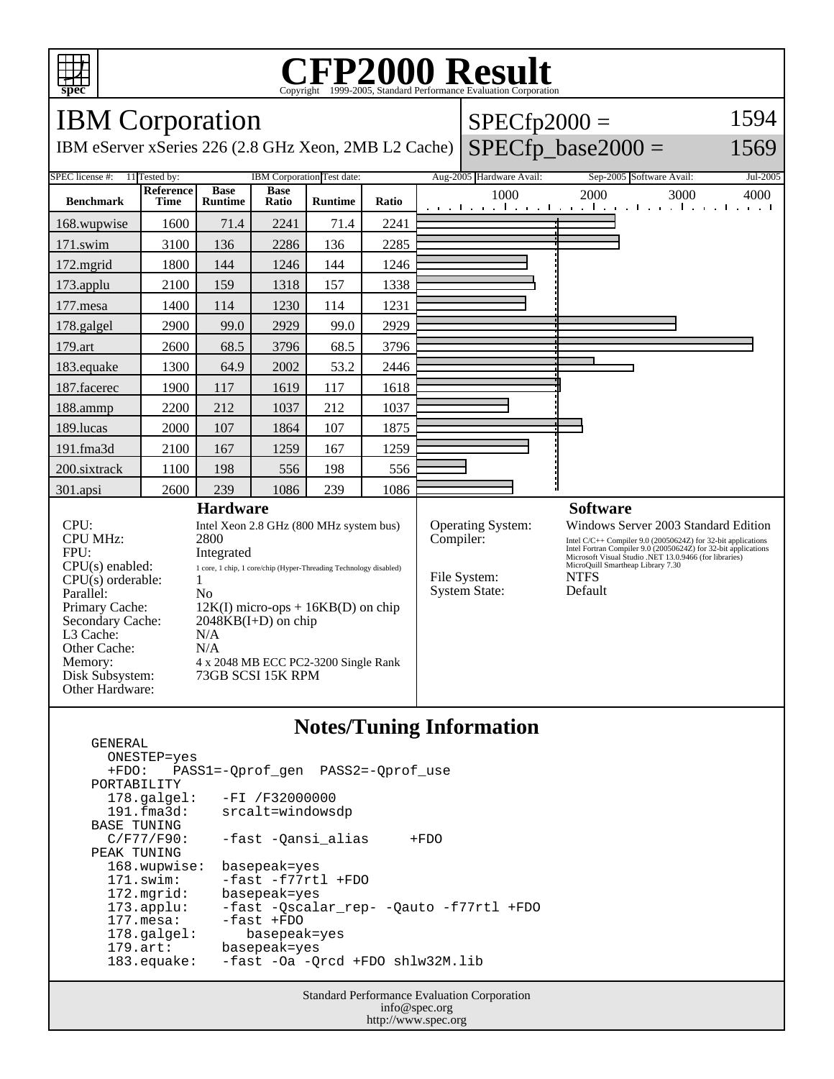

GENERAL

### **CFP2000 Result** Copyright  $\odot$  1999-2005, Standard I

IBM Corporation IBM eServer xSeries 226 (2.8 GHz Xeon, 2MB L2 Cache)  $SPECfp2000 =$  $SPECfp\_base2000 =$ 1594 1569 SPEC license #: 11 Tested by: IBM Corporation Test date: Aug-2005 Hardware Avail: Sep-2005 Software Avail: Jul-2005 **Benchmark Reference Time Base Runtime Base Ratio Runtime Ratio** 1000 2000 3000 4000 168.wupwise 1600 71.4 2241 71.4 2241 171.swim | 3100 | 136 | 2286 | 136 | 2285 172.mgrid | 1800 | 144 | 1246 | 144 | 1246 173.applu | 2100 | 159 | 1318 | 157 | 1338 177.mesa | 1400 | 114 | 1230 | 114 | 1231 178.galgel 2900 99.0 2929 99.0 2929 179.art | 2600 | 68.5 | 3796 | 68.5 | 3796 183.equake 1300 64.9 2002 53.2 2446 187.facerec | 1900 | 117 | 1619 | 117 | 1618 188.ammp | 2200 | 212 | 1037 | 212 | 1037 189.lucas | 2000 | 107 | 1864 | 107 | 1875 191.fma3d 2100 167 1259 167 1259 200.sixtrack | 1100 | 198 | 556 | 198 | 556 301.apsi 2600 239 1086 239 1086 **Hardware** CPU: Intel Xeon 2.8 GHz (800 MHz system bus) CPU MHz: 2800 FPU: Integrated CPU(s) enabled: 1 core, 1 chip, 1 core/chip (Hyper-Threading Technology disabled)  $CPU(s)$  orderable:  $1$ Parallel: No Primary Cache: 12K(I) micro-ops + 16KB(D) on chip Secondary Cache: 2048KB(I+D) on chip L3 Cache: N/A Other Cache: N/A Memory: 4 x 2048 MB ECC PC2-3200 Single Rank Disk Subsystem: 73GB SCSI 15K RPM Other Hardware: **Software** Operating System: Windows Server 2003 Standard Edition<br>
Compiler: Intel C/C++ Compiler 9.0 (20050624Z) for 32-bit applications Intel C/C++ Compiler 9.0 (20050624Z) for 32-bit applications Intel Fortran Compiler 9.0 (20050624Z) for 32-bit applications Microsoft Visual Studio .NET 13.0.9466 (for libraries) MicroQuill Smartheap Library 7.30 File System: NTFS<br>System State: Default System State:

# **Notes/Tuning Information**

 ONESTEP=yes +FDO: PASS1=-Qprof\_gen PASS2=-Qprof\_use PORTABILITY<br>178.galgel: -FI /F32000000 191.fma3d: srcalt=windowsdp BASE TUNING<br>C/F77/F90: -fast -Qansi\_alias +FDO PEAK TUNING 168.wupwise: basepeak=yes 171.swim: -fast -f77rtl +FDO 172.mgrid: basepeak=yes<br>173.applu: -fast -Qscala 173.applu: -fast -Qscalar\_rep- -Qauto -f77rtl +FDO -fast +FDO 178.galgel: basepeak=yes 179.art: basepeak=yes 183.equake: -fast -Oa -Qrcd +FDO shlw32M.lib

> Standard Performance Evaluation Corporation info@spec.org http://www.spec.org